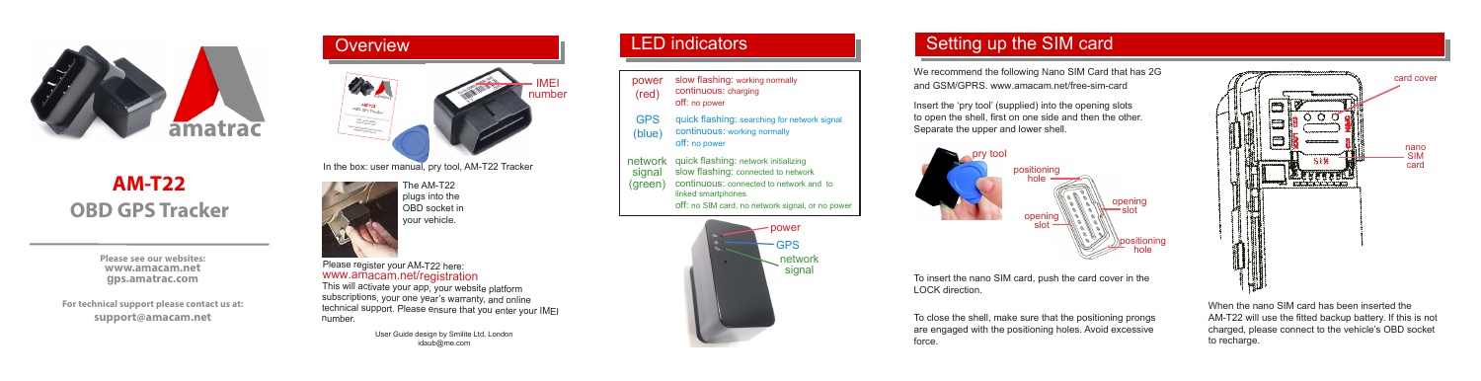

# **OBD GPS Tracker AM-T22**

**Please see our websites: www.amacam.net gps.amatrac.com**

**For technical support please contact us at: support@amacam.net**



User Guide design by Smilite Ltd, London idaub@me.com

number.

#### LED indicators

- power slow flashing: working normally continuous: charging
- (red) off: no power
- GPS quick flashing: searching for network signal
- (blue) continuous: working normally
	- off: no power
- network quick flashing: network initializing signal (green) slow flashing: connected to network continuous: connected to network and to linked smartphones off: no SIM card, no network signal, or no power



We recommend the following Nano SIM Card that has 2G and GSM/GPRS. www.amacam.net/free-sim-card

Insert the 'pry tool' (supplied) into the opening slots to open the shell, first on one side and then the other. Separate the upper and lower shell.





To close the shell, make sure that the positioning prongs are engaged with the positioning holes. Avoid excessive force.



When the nano SIM card has been inserted the AM-T22 will use the fitted backup battery. If this is not charged, please connect to the vehicle's OBD socket to recharge.